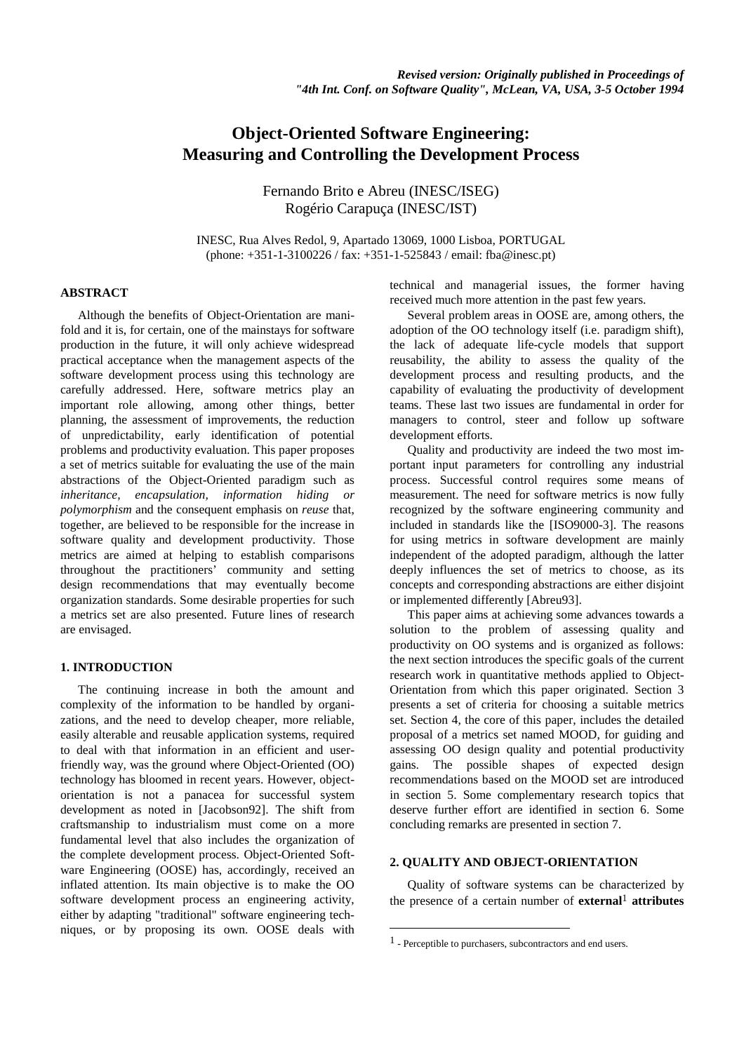# **Object-Oriented Software Engineering: Measuring and Controlling the Development Process**

Fernando Brito e Abreu (INESC/ISEG) Rogério Carapuça (INESC/IST)

INESC, Rua Alves Redol, 9, Apartado 13069, 1000 Lisboa, PORTUGAL (phone: +351-1-3100226 / fax: +351-1-525843 / email: fba@inesc.pt)

## **ABSTRACT**

Although the benefits of Object-Orientation are manifold and it is, for certain, one of the mainstays for software production in the future, it will only achieve widespread practical acceptance when the management aspects of the software development process using this technology are carefully addressed. Here, software metrics play an important role allowing, among other things, better planning, the assessment of improvements, the reduction of unpredictability, early identification of potential problems and productivity evaluation. This paper proposes a set of metrics suitable for evaluating the use of the main abstractions of the Object-Oriented paradigm such as *inheritance, encapsulation, information hiding or polymorphism* and the consequent emphasis on *reuse* that, together, are believed to be responsible for the increase in software quality and development productivity. Those metrics are aimed at helping to establish comparisons throughout the practitioners' community and setting design recommendations that may eventually become organization standards. Some desirable properties for such a metrics set are also presented. Future lines of research are envisaged.

# **1. INTRODUCTION**

The continuing increase in both the amount and complexity of the information to be handled by organizations, and the need to develop cheaper, more reliable, easily alterable and reusable application systems, required to deal with that information in an efficient and userfriendly way, was the ground where Object-Oriented (OO) technology has bloomed in recent years. However, objectorientation is not a panacea for successful system development as noted in [Jacobson92]. The shift from craftsmanship to industrialism must come on a more fundamental level that also includes the organization of the complete development process. Object-Oriented Software Engineering (OOSE) has, accordingly, received an inflated attention. Its main objective is to make the OO software development process an engineering activity, either by adapting "traditional" software engineering techniques, or by proposing its own. OOSE deals with

technical and managerial issues, the former having received much more attention in the past few years.

Several problem areas in OOSE are, among others, the adoption of the OO technology itself (i.e. paradigm shift), the lack of adequate life-cycle models that support reusability, the ability to assess the quality of the development process and resulting products, and the capability of evaluating the productivity of development teams. These last two issues are fundamental in order for managers to control, steer and follow up software development efforts.

Quality and productivity are indeed the two most important input parameters for controlling any industrial process. Successful control requires some means of measurement. The need for software metrics is now fully recognized by the software engineering community and included in standards like the [ISO9000-3]. The reasons for using metrics in software development are mainly independent of the adopted paradigm, although the latter deeply influences the set of metrics to choose, as its concepts and corresponding abstractions are either disjoint or implemented differently [Abreu93].

This paper aims at achieving some advances towards a solution to the problem of assessing quality and productivity on OO systems and is organized as follows: the next section introduces the specific goals of the current research work in quantitative methods applied to Object-Orientation from which this paper originated. Section 3 presents a set of criteria for choosing a suitable metrics set. Section 4, the core of this paper, includes the detailed proposal of a metrics set named MOOD, for guiding and assessing OO design quality and potential productivity gains. The possible shapes of expected design recommendations based on the MOOD set are introduced in section 5. Some complementary research topics that deserve further effort are identified in section 6. Some concluding remarks are presented in section 7.

## **2. QUALITY AND OBJECT-ORIENTATION**

Quality of software systems can be characterized by the presence of a certain number of **external**<sup>1</sup> **attributes**

<sup>1 -</sup> Perceptible to purchasers, subcontractors and end users.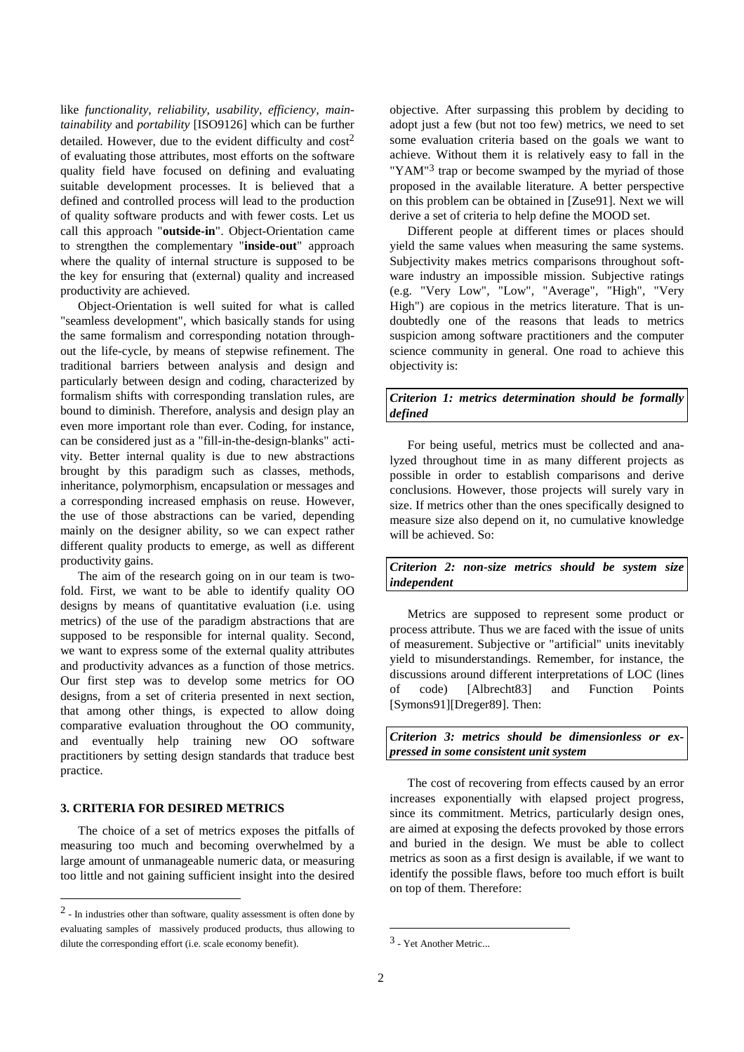like *functionality, reliability, usability, efficiency, maintainability* and *portability* [ISO9126] which can be further detailed. However, due to the evident difficulty and  $cost<sup>2</sup>$ of evaluating those attributes, most efforts on the software quality field have focused on defining and evaluating suitable development processes. It is believed that a defined and controlled process will lead to the production of quality software products and with fewer costs. Let us call this approach "**outside-in**". Object-Orientation came to strengthen the complementary "**inside-out**" approach where the quality of internal structure is supposed to be the key for ensuring that (external) quality and increased productivity are achieved.

Object-Orientation is well suited for what is called "seamless development", which basically stands for using the same formalism and corresponding notation throughout the life-cycle, by means of stepwise refinement. The traditional barriers between analysis and design and particularly between design and coding, characterized by formalism shifts with corresponding translation rules, are bound to diminish. Therefore, analysis and design play an even more important role than ever. Coding, for instance, can be considered just as a "fill-in-the-design-blanks" activity. Better internal quality is due to new abstractions brought by this paradigm such as classes, methods, inheritance, polymorphism, encapsulation or messages and a corresponding increased emphasis on reuse. However, the use of those abstractions can be varied, depending mainly on the designer ability, so we can expect rather different quality products to emerge, as well as different productivity gains.

The aim of the research going on in our team is twofold. First, we want to be able to identify quality OO designs by means of quantitative evaluation (i.e. using metrics) of the use of the paradigm abstractions that are supposed to be responsible for internal quality. Second, we want to express some of the external quality attributes and productivity advances as a function of those metrics. Our first step was to develop some metrics for OO designs, from a set of criteria presented in next section, that among other things, is expected to allow doing comparative evaluation throughout the OO community, and eventually help training new OO software practitioners by setting design standards that traduce best practice.

# **3. CRITERIA FOR DESIRED METRICS**

l

The choice of a set of metrics exposes the pitfalls of measuring too much and becoming overwhelmed by a large amount of unmanageable numeric data, or measuring too little and not gaining sufficient insight into the desired

objective. After surpassing this problem by deciding to adopt just a few (but not too few) metrics, we need to set some evaluation criteria based on the goals we want to achieve. Without them it is relatively easy to fall in the "YAM"<sup>3</sup> trap or become swamped by the myriad of those proposed in the available literature. A better perspective on this problem can be obtained in [Zuse91]. Next we will derive a set of criteria to help define the MOOD set.

Different people at different times or places should yield the same values when measuring the same systems. Subjectivity makes metrics comparisons throughout software industry an impossible mission. Subjective ratings (e.g. "Very Low", "Low", "Average", "High", "Very High") are copious in the metrics literature. That is undoubtedly one of the reasons that leads to metrics suspicion among software practitioners and the computer science community in general. One road to achieve this objectivity is:

# *Criterion 1: metrics determination should be formally defined*

For being useful, metrics must be collected and analyzed throughout time in as many different projects as possible in order to establish comparisons and derive conclusions. However, those projects will surely vary in size. If metrics other than the ones specifically designed to measure size also depend on it, no cumulative knowledge will be achieved. So:

*Criterion 2: non-size metrics should be system size independent*

Metrics are supposed to represent some product or process attribute. Thus we are faced with the issue of units of measurement. Subjective or "artificial" units inevitably yield to misunderstandings. Remember, for instance, the discussions around different interpretations of LOC (lines of code) [Albrecht83] and Function Points [Symons91][Dreger89]. Then:

*Criterion 3: metrics should be dimensionless or expressed in some consistent unit system*

The cost of recovering from effects caused by an error increases exponentially with elapsed project progress, since its commitment. Metrics, particularly design ones, are aimed at exposing the defects provoked by those errors and buried in the design. We must be able to collect metrics as soon as a first design is available, if we want to identify the possible flaws, before too much effort is built on top of them. Therefore:

<sup>2 -</sup> In industries other than software, quality assessment is often done by evaluating samples of massively produced products, thus allowing to dilute the corresponding effort (i.e. scale economy benefit).

<sup>3 -</sup> Yet Another Metric...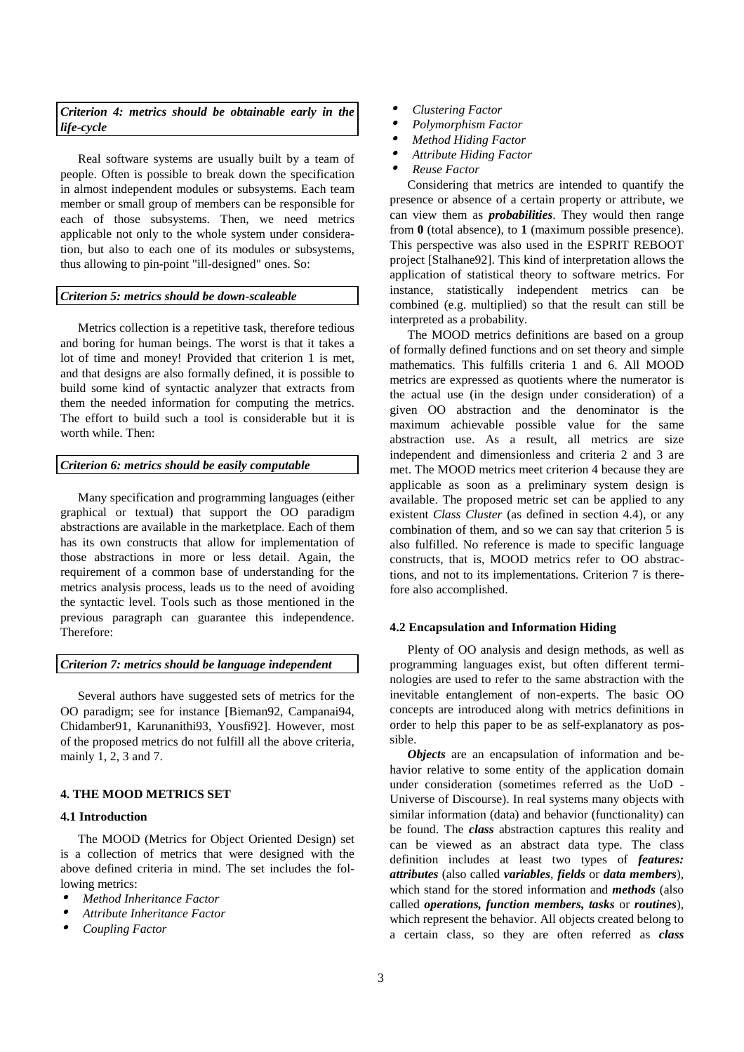## *Criterion 4: metrics should be obtainable early in the life-cycle*

Real software systems are usually built by a team of people. Often is possible to break down the specification in almost independent modules or subsystems. Each team member or small group of members can be responsible for each of those subsystems. Then, we need metrics applicable not only to the whole system under consideration, but also to each one of its modules or subsystems, thus allowing to pin-point "ill-designed" ones. So:

## *Criterion 5: metrics should be down-scaleable*

Metrics collection is a repetitive task, therefore tedious and boring for human beings. The worst is that it takes a lot of time and money! Provided that criterion 1 is met, and that designs are also formally defined, it is possible to build some kind of syntactic analyzer that extracts from them the needed information for computing the metrics. The effort to build such a tool is considerable but it is worth while. Then:

## *Criterion 6: metrics should be easily computable*

Many specification and programming languages (either graphical or textual) that support the OO paradigm abstractions are available in the marketplace. Each of them has its own constructs that allow for implementation of those abstractions in more or less detail. Again, the requirement of a common base of understanding for the metrics analysis process, leads us to the need of avoiding the syntactic level. Tools such as those mentioned in the previous paragraph can guarantee this independence. Therefore:

## *Criterion 7: metrics should be language independent*

Several authors have suggested sets of metrics for the OO paradigm; see for instance [Bieman92, Campanai94, Chidamber91, Karunanithi93, Yousfi92]. However, most of the proposed metrics do not fulfill all the above criteria, mainly 1, 2, 3 and 7.

## **4. THE MOOD METRICS SET**

#### **4.1 Introduction**

The MOOD (Metrics for Object Oriented Design) set is a collection of metrics that were designed with the above defined criteria in mind. The set includes the following metrics:

- •*Method Inheritance Factor*
- •*Attribute Inheritance Factor*
- •*Coupling Factor*
- •*Clustering Factor*
- •*Polymorphism Factor*
- •*Method Hiding Factor*
- •*Attribute Hiding Factor*
- •*Reuse Factor*

Considering that metrics are intended to quantify the presence or absence of a certain property or attribute, we can view them as *probabilities*. They would then range from **0** (total absence), to **1** (maximum possible presence). This perspective was also used in the ESPRIT REBOOT project [Stalhane92]. This kind of interpretation allows the application of statistical theory to software metrics. For instance, statistically independent metrics can be combined (e.g. multiplied) so that the result can still be interpreted as a probability.

The MOOD metrics definitions are based on a group of formally defined functions and on set theory and simple mathematics. This fulfills criteria 1 and 6. All MOOD metrics are expressed as quotients where the numerator is the actual use (in the design under consideration) of a given OO abstraction and the denominator is the maximum achievable possible value for the same abstraction use. As a result, all metrics are size independent and dimensionless and criteria 2 and 3 are met. The MOOD metrics meet criterion 4 because they are applicable as soon as a preliminary system design is available. The proposed metric set can be applied to any existent *Class Cluster* (as defined in section 4.4), or any combination of them, and so we can say that criterion 5 is also fulfilled. No reference is made to specific language constructs, that is, MOOD metrics refer to OO abstractions, and not to its implementations. Criterion 7 is therefore also accomplished.

#### **4.2 Encapsulation and Information Hiding**

Plenty of OO analysis and design methods, as well as programming languages exist, but often different terminologies are used to refer to the same abstraction with the inevitable entanglement of non-experts. The basic OO concepts are introduced along with metrics definitions in order to help this paper to be as self-explanatory as possible.

*Objects* are an encapsulation of information and behavior relative to some entity of the application domain under consideration (sometimes referred as the UoD - Universe of Discourse). In real systems many objects with similar information (data) and behavior (functionality) can be found. The *class* abstraction captures this reality and can be viewed as an abstract data type. The class definition includes at least two types of *features: attributes* (also called *variables*, *fields* or *data members*), which stand for the stored information and *methods* (also called *operations, function members, tasks* or *routines*), which represent the behavior. All objects created belong to a certain class, so they are often referred as *class*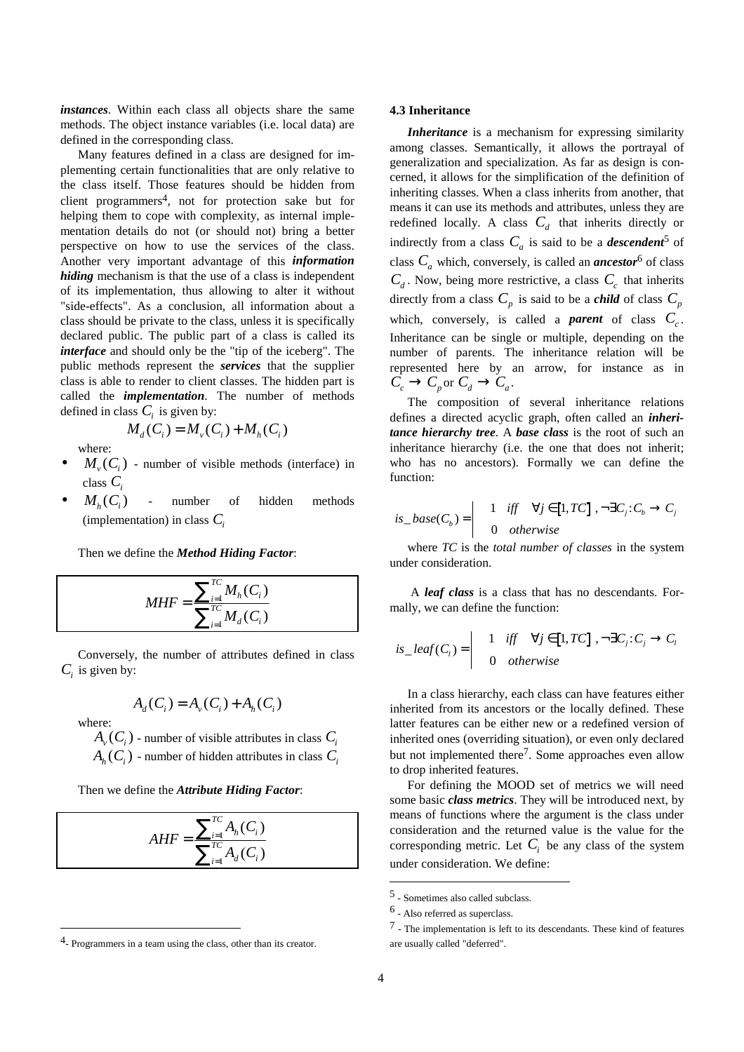*instances*. Within each class all objects share the same methods. The object instance variables (i.e. local data) are defined in the corresponding class.

Many features defined in a class are designed for implementing certain functionalities that are only relative to the class itself. Those features should be hidden from client programmers4, not for protection sake but for helping them to cope with complexity, as internal implementation details do not (or should not) bring a better perspective on how to use the services of the class. Another very important advantage of this *information hiding* mechanism is that the use of a class is independent of its implementation, thus allowing to alter it without "side-effects". As a conclusion, all information about a class should be private to the class, unless it is specifically declared public. The public part of a class is called its *interface* and should only be the "tip of the iceberg". The public methods represent the *services* that the supplier class is able to render to client classes. The hidden part is called the *implementation*. The number of methods defined in class  $C_i$  is given by:

$$
M_d(C_i) = M_v(C_i) + M_h(C_i)
$$

where:

- $M_v(C_i)$  number of visible methods (interface) in class *Ci*
- $M_h(C_i)$  number of hidden methods (implementation) in class  $C_i$

Then we define the *Method Hiding Factor*:

$$
MHF = \frac{\sum_{i=1}^{TC} M_h(C_i)}{\sum_{i=1}^{TC} M_d(C_i)}
$$

Conversely, the number of attributes defined in class  $C_i$  is given by:

$$
A_d(C_i) = A_v(C_i) + A_h(C_i)
$$

where:

l

 $A_v(C_i)$  - number of visible attributes in class  $C_i$  $A<sub>h</sub>(C<sub>i</sub>)$  - number of hidden attributes in class  $C<sub>i</sub>$ 

Then we define the *Attribute Hiding Factor*:

$$
AHF = \frac{\sum_{i=1}^{TC} A_h(C_i)}{\sum_{i=1}^{TC} A_d(C_i)}
$$

#### **4.3 Inheritance**

*Inheritance* is a mechanism for expressing similarity among classes. Semantically, it allows the portrayal of generalization and specialization. As far as design is concerned, it allows for the simplification of the definition of inheriting classes. When a class inherits from another, that means it can use its methods and attributes, unless they are redefined locally. A class  $C_d$  that inherits directly or indirectly from a class  $C_a$  is said to be a *descendent*<sup>5</sup> of class  $C_a$  which, conversely, is called an *ancestor*<sup>6</sup> of class  $C_d$ . Now, being more restrictive, a class  $C_c$  that inherits directly from a class  $C_p$  is said to be a *child* of class  $C_p$ which, conversely, is called a *parent* of class  $C_c$ . Inheritance can be single or multiple, depending on the number of parents. The inheritance relation will be represented here by an arrow, for instance as in  $C_c \rightarrow C_p$  or  $C_d \rightarrow C_q$ .

The composition of several inheritance relations defines a directed acyclic graph, often called an *inheritance hierarchy tree*. A *base class* is the root of such an inheritance hierarchy (i.e. the one that does not inherit; who has no ancestors). Formally we can define the function:

$$
is\_base(C_b) = \begin{vmatrix} 1 & iff & \forall j \in [1, TC] , \neg \exists C_j : C_b \rightarrow C_j \\ 0 & otherwise \end{vmatrix}
$$

where *TC* is the *total number of classes* in the system under consideration.

 A *leaf class* is a class that has no descendants. Formally, we can define the function:

$$
is\_leaf(C_i) = \begin{vmatrix} 1 & iff & \forall j \in [1, TC] \,, \neg \exists C_j : C_j \to C_l \\ 0 & otherwise \end{vmatrix}
$$

In a class hierarchy, each class can have features either inherited from its ancestors or the locally defined. These latter features can be either new or a redefined version of inherited ones (overriding situation), or even only declared but not implemented there<sup>7</sup>. Some approaches even allow to drop inherited features.

For defining the MOOD set of metrics we will need some basic *class metrics*. They will be introduced next, by means of functions where the argument is the class under consideration and the returned value is the value for the corresponding metric. Let  $C_i$  be any class of the system under consideration. We define:

<sup>4-</sup> Programmers in a team using the class, other than its creator.

<sup>5 -</sup> Sometimes also called subclass.

<sup>6 -</sup> Also referred as superclass.

<sup>7 -</sup> The implementation is left to its descendants. These kind of features are usually called "deferred".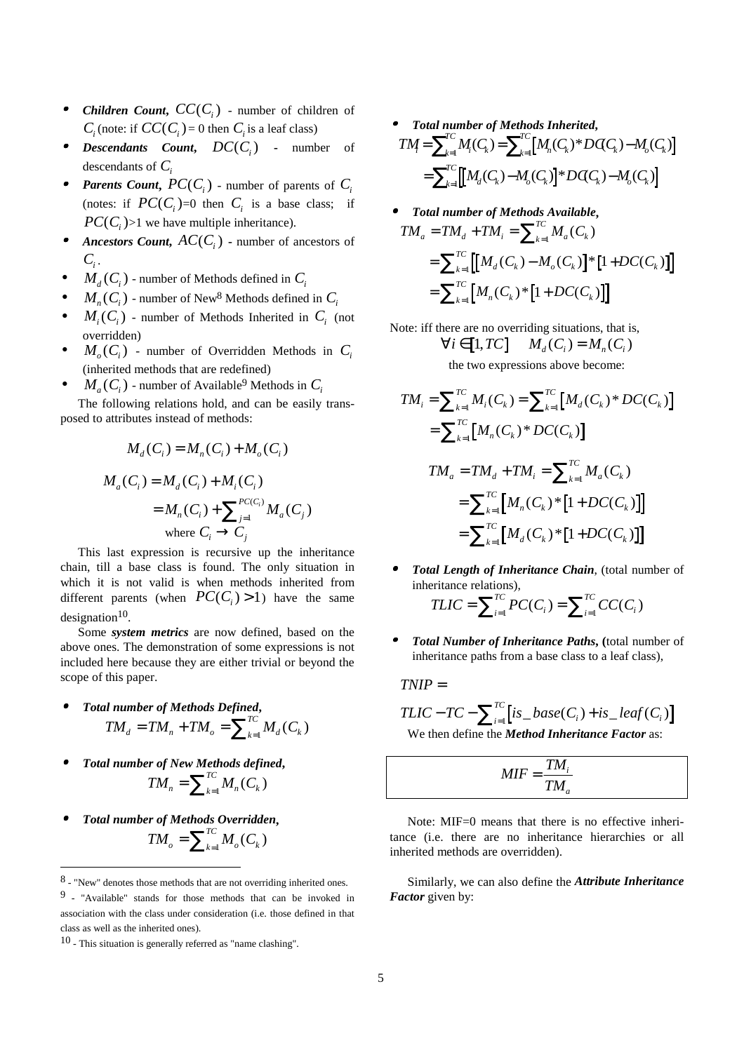- •**Children Count,**  $CC(C_i)$  - number of children of  $C_i$  (note: if  $CC(C_i) = 0$  then  $C_i$  is a leaf class)
- •*Descendants Count, DC(C<sub>i</sub>) - number of* descendants of *Ci*
- •*Parents Count,*  $PC(C_i)$  *- number of parents of*  $C_i$ (notes: if  $PC(C_i)=0$  then  $C_i$  is a base class; if  $PC(C<sub>i</sub>)>1$  we have multiple inheritance).
- •*Ancestors Count,*  $AC(C_i)$  *- number of ancestors of*  $C_i$ .
- $M_d(C_i)$  number of Methods defined in  $C_i$
- $M_n(C_i)$  number of New<sup>8</sup> Methods defined in  $C_i$
- $M_i(C_i)$  number of Methods Inherited in  $C_i$  (not overridden)
- $M_{o}(C_i)$  number of Overridden Methods in  $C_i$ (inherited methods that are redefined)
- $M_a(C_i)$  number of Available<sup>9</sup> Methods in  $C_i$

The following relations hold, and can be easily transposed to attributes instead of methods:

$$
M_d(C_i) = M_n(C_i) + M_o(C_i)
$$
  

$$
M_a(C_i) = M_d(C_i) + M_i(C_i)
$$
  

$$
= M_n(C_i) + \sum_{j=1}^{P(C_i)} M_a(C_j)
$$
  
where  $C_i \rightarrow C_j$ 

This last expression is recursive up the inheritance chain, till a base class is found. The only situation in which it is not valid is when methods inherited from different parents (when  $PC(C_i) > 1$ ) have the same designation $10$ .

Some *system metrics* are now defined, based on the above ones. The demonstration of some expressions is not included here because they are either trivial or beyond the scope of this paper.

- • *Total number of Methods Defined***,**  $TM_{d} = TM_{n} + TM_{o} = \sum_{k=1}^{TC} M_{d}(C_{k})$
- • *Total number of New Methods defined***,**  $TM_{n} = \sum_{k=1}^{TC} M_{n}(C_{k})$
- • *Total number of Methods Overridden***,**  $TM_{o} = \sum_{k=1}^{TC} M_{o}(C_{k})$

l

- • *Total number of Methods Inherited***,**  $TM = \sum_{k=1}^{n} M_i(C_k) = \sum_{k=1}^{n} [M_n(C_k)^*DG(C_k) - M_o(C_k)]$  $\frac{d}{d\kappa} \left[ \left[ M_d(C_{\!\kappa}) \!-\! M_{\!o}(C_{\!\kappa}) \right] \! \ast \! D \! \not\!\!C_{\!C_{\!\kappa}}) \!-\! M_{\!o}(C_{\!\kappa}) \right]$ *TC*  $\mathbf{k}_{\text{el}}$   $\mathbf{k}_{n}(\mathbf{k}_{k})$   $D\mathbf{k}_{k}(\mathbf{k}_{k})$  $=\sum_{k=1}^{TC} M_i(C_k) = \sum_{k=1}^{TC} [M_n(C_k)^*DG(C_k) - M_o(C_k)]$  $=\sum_{k=1}^{TC} \left[ \left[ M_d(C_k) - M_o(C_k) \right]^* DGC_k) - M_o(C_k) \right]$
- • *Total number of Methods Available***,**  $TM_a = TM_a + TM_i = \sum_{k=1}^{n} M_a (C_k)$  $\prod_{k=1}^{n}$   $\left[ M_d(C_k) - M_o(C_k) \right]$   $*$   $\left[ 1 + D C(C_k) \right]$  $\prod_{k=1}^{n}$   $M_n$   $(C_k)$   $\bigg\{ 1 + DC(C_k) \bigg\}$  $= TM_{d} + TM_{i} = \sum_{k=1}^{TC} M_{a}(C_{k})$  $=\sum_{k=1}^{TC} \left[ \left[ M_d(C_k) - M_o(C_k) \right]^* \left[ 1 + DC(C_k) \right]$  $=\sum_{k=1}^{TC} [M_n(C_k)^*[1+DC(C_k)]$
- Note: iff there are no overriding situations, that is,  $\forall i \in [1, TC]$   $M_d(C_i) = M_n(C_i)$ the two expressions above become:

$$
TM_{i} = \sum_{k=1}^{TC} M_{i}(C_{k}) = \sum_{k=1}^{TC} [M_{d}(C_{k})^{*}DC(C_{k})]
$$
  
\n
$$
= \sum_{k=1}^{TC} [M_{n}(C_{k})^{*}DC(C_{k})]
$$
  
\n
$$
TM_{a} = TM_{d} + TM_{i} = \sum_{k=1}^{TC} M_{a}(C_{k})
$$
  
\n
$$
= \sum_{k=1}^{TC} [M_{n}(C_{k})^{*}[1+DC(C_{k})]]
$$
  
\n
$$
= \sum_{k=1}^{TC} [M_{d}(C_{k})^{*}[1+DC(C_{k})]]
$$

- • *Total Length of Inheritance Chain*, (total number of inheritance relations),  $TLIC = \sum_{i=1}^{TC} PC(C_i) = \sum_{i=1}^{TC} CC(C_i)$ *i*  $=\sum_{i=1}^{TC}PC(C_i)=\sum_{i=1}^{TC}CC(C_i)$
- • *Total Number of Inheritance Paths***, (**total number of inheritance paths from a base class to a leaf class),

*TNIP* =

$$
TLIC - TC - \sum_{i=1}^{TC} [is\_base(C_i) + is\_leaf(C_i)]
$$
  
We then define the *Method Inheritance Factor* as:

$$
MIF = \frac{TM_i}{TM_a}
$$

Note: MIF=0 means that there is no effective inheritance (i.e. there are no inheritance hierarchies or all inherited methods are overridden).

Similarly, we can also define the *Attribute Inheritance Factor* given by:

<sup>8 - &</sup>quot;New" denotes those methods that are not overriding inherited ones.

<sup>9 - &</sup>quot;Available" stands for those methods that can be invoked in association with the class under consideration (i.e. those defined in that class as well as the inherited ones).

<sup>10 -</sup> This situation is generally referred as "name clashing".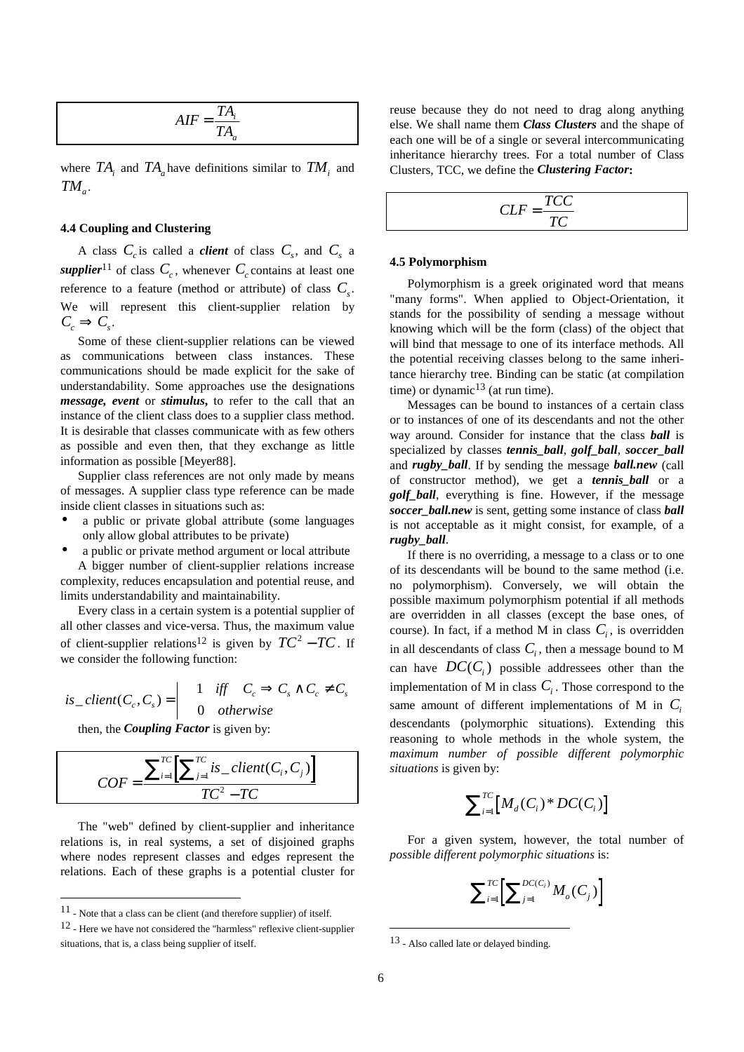$$
AIF = \frac{TA_i}{TA_a}
$$

where  $TA_i$  and  $TA_a$  have definitions similar to  $TM_i$  and  $TM_{a}$ .

## **4.4 Coupling and Clustering**

A class  $C_c$  is called a *client* of class  $C_s$ , and  $C_s$  a *supplier*<sup>11</sup> of class  $C_c$ , whenever  $C_c$  contains at least one reference to a feature (method or attribute) of class  $C_s$ . We will represent this client-supplier relation by  $C_c \Rightarrow C_c$ .

Some of these client-supplier relations can be viewed as communications between class instances. These communications should be made explicit for the sake of understandability. Some approaches use the designations *message, event* or *stimulus***,** to refer to the call that an instance of the client class does to a supplier class method. It is desirable that classes communicate with as few others as possible and even then, that they exchange as little information as possible [Meyer88].

Supplier class references are not only made by means of messages. A supplier class type reference can be made inside client classes in situations such as:

• a public or private global attribute (some languages only allow global attributes to be private)

a public or private method argument or local attribute A bigger number of client-supplier relations increase complexity, reduces encapsulation and potential reuse, and limits understandability and maintainability.

Every class in a certain system is a potential supplier of all other classes and vice-versa. Thus, the maximum value of client-supplier relations<sup>12</sup> is given by  $TC^2 - TC$ . If we consider the following function:

$$
is\_client(C_c, C_s) = \begin{vmatrix} 1 & iff & C_c \implies C_s \land C_c \neq C_s \\ 0 & otherwise \end{vmatrix}
$$

then, the *Coupling Factor* is given by:

$$
COF = \frac{\sum_{i=1}^{TC} \left[ \sum_{j=1}^{TC} is\_client(C_i, C_j) \right]}{TC^2 - TC}
$$

The "web" defined by client-supplier and inheritance relations is, in real systems, a set of disjoined graphs where nodes represent classes and edges represent the relations. Each of these graphs is a potential cluster for

l

reuse because they do not need to drag along anything else. We shall name them *Class Clusters* and the shape of each one will be of a single or several intercommunicating inheritance hierarchy trees. For a total number of Class Clusters, TCC, we define the *Clustering Factor***:**

$$
CLF = \frac{TCC}{TC}
$$

#### **4.5 Polymorphism**

Polymorphism is a greek originated word that means "many forms". When applied to Object-Orientation, it stands for the possibility of sending a message without knowing which will be the form (class) of the object that will bind that message to one of its interface methods. All the potential receiving classes belong to the same inheritance hierarchy tree. Binding can be static (at compilation time) or dynamic<sup>13</sup> (at run time).

Messages can be bound to instances of a certain class or to instances of one of its descendants and not the other way around. Consider for instance that the class *ball* is specialized by classes *tennis\_ball, golf\_ball, soccer\_ball* and *rugby\_ball*. If by sending the message *ball.new* (call of constructor method), we get a *tennis\_ball* or a *golf\_ball*, everything is fine. However, if the message *soccer\_ball.new* is sent, getting some instance of class *ball* is not acceptable as it might consist, for example, of a *rugby\_ball*.

If there is no overriding, a message to a class or to one of its descendants will be bound to the same method (i.e. no polymorphism). Conversely, we will obtain the possible maximum polymorphism potential if all methods are overridden in all classes (except the base ones, of course). In fact, if a method M in class  $C_i$ , is overridden in all descendants of class  $C_i$ , then a message bound to M can have  $DC(C_i)$  possible addressees other than the implementation of M in class  $C_i$ . Those correspond to the same amount of different implementations of M in  $C_i$ descendants (polymorphic situations). Extending this reasoning to whole methods in the whole system, the *maximum number of possible different polymorphic situations* is given by:

$$
\sum\nolimits_{i=1}^{TC} [M_a(C_i)^*DC(C_i)]
$$

For a given system, however, the total number of *possible different polymorphic situations* is:

$$
\sum\nolimits_{i=1}^{TC} \biggl[ \sum\nolimits_{j=1}^{DC(C_i)} M_o(C_j) \biggr]
$$

<sup>11 -</sup> Note that a class can be client (and therefore supplier) of itself.

<sup>12 -</sup> Here we have not considered the "harmless" reflexive client-supplier situations, that is, a class being supplier of itself.

<sup>13 -</sup> Also called late or delayed binding.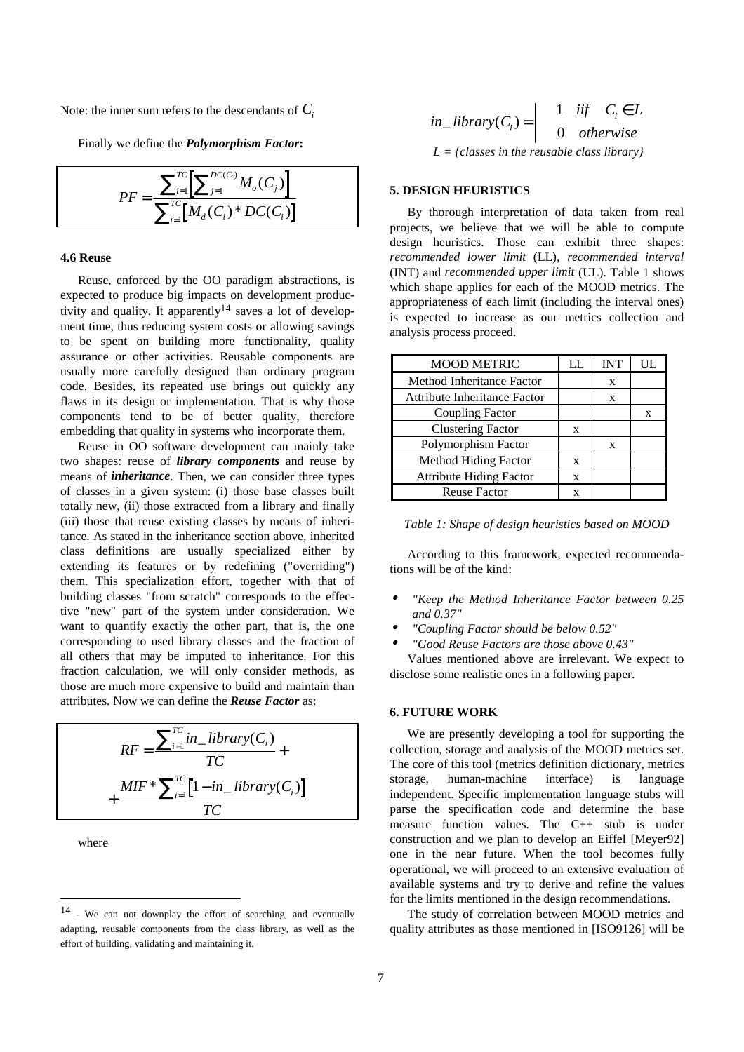Note: the inner sum refers to the descendants of  $C_i$ 

Finally we define the *Polymorphism Factor***:**

$$
PF = \frac{\sum_{i=1}^{TC} \left[ \sum_{j=1}^{DC(C_i)} M_o(C_j) \right]}{\sum_{i=1}^{TC} \left[ M_a(C_i)^* D C(C_i) \right]}
$$

# **4.6 Reuse**

Reuse, enforced by the OO paradigm abstractions, is expected to produce big impacts on development productivity and quality. It apparently<sup>14</sup> saves a lot of development time, thus reducing system costs or allowing savings to be spent on building more functionality, quality assurance or other activities. Reusable components are usually more carefully designed than ordinary program code. Besides, its repeated use brings out quickly any flaws in its design or implementation. That is why those components tend to be of better quality, therefore embedding that quality in systems who incorporate them.

Reuse in OO software development can mainly take two shapes: reuse of *library components* and reuse by means of *inheritance*. Then, we can consider three types of classes in a given system: (i) those base classes built totally new, (ii) those extracted from a library and finally (iii) those that reuse existing classes by means of inheritance. As stated in the inheritance section above, inherited class definitions are usually specialized either by extending its features or by redefining ("overriding") them. This specialization effort, together with that of building classes "from scratch" corresponds to the effective "new" part of the system under consideration. We want to quantify exactly the other part, that is, the one corresponding to used library classes and the fraction of all others that may be imputed to inheritance. For this fraction calculation, we will only consider methods, as those are much more expensive to build and maintain than attributes. Now we can define the *Reuse Factor* as:

$$
RF = \frac{\sum_{i=1}^{TC} in\_library(C_i)}{TC} + \frac{MIF * \sum_{i=1}^{TC} [1 - in\_library(C_i)]}{TC}
$$

where

l

$$
in\_library(C_i) = \begin{vmatrix} 1 & \text{if } C_i \in L \\ 0 & \text{otherwise} \end{vmatrix}
$$
  

$$
L = \{\text{classes in the reusable class library}\}\
$$

#### **5. DESIGN HEURISTICS**

By thorough interpretation of data taken from real projects, we believe that we will be able to compute design heuristics. Those can exhibit three shapes: *recommended lower limit* (LL), *recommended interval* (INT) and *recommended upper limit* (UL). Table 1 shows which shape applies for each of the MOOD metrics. The appropriateness of each limit (including the interval ones) is expected to increase as our metrics collection and analysis process proceed.

| <b>MOOD METRIC</b>             | LL. | <b>INT</b> | UL |
|--------------------------------|-----|------------|----|
| Method Inheritance Factor      |     | X          |    |
| Attribute Inheritance Factor   |     | X          |    |
| <b>Coupling Factor</b>         |     |            | X  |
| <b>Clustering Factor</b>       | X   |            |    |
| Polymorphism Factor            |     | X          |    |
| <b>Method Hiding Factor</b>    | X   |            |    |
| <b>Attribute Hiding Factor</b> | X   |            |    |
| <b>Reuse Factor</b>            | X   |            |    |

| Table 1: Shape of design heuristics based on MOOD |
|---------------------------------------------------|
|---------------------------------------------------|

According to this framework, expected recommendations will be of the kind:

- • *"Keep the Method Inheritance Factor between 0.25 and 0.37"*
- •*"Coupling Factor should be below 0.52"*
- •*"Good Reuse Factors are those above 0.43"*

Values mentioned above are irrelevant. We expect to disclose some realistic ones in a following paper.

## **6. FUTURE WORK**

We are presently developing a tool for supporting the collection, storage and analysis of the MOOD metrics set. The core of this tool (metrics definition dictionary, metrics storage, human-machine interface) is language independent. Specific implementation language stubs will parse the specification code and determine the base measure function values. The C++ stub is under construction and we plan to develop an Eiffel [Meyer92] one in the near future. When the tool becomes fully operational, we will proceed to an extensive evaluation of available systems and try to derive and refine the values for the limits mentioned in the design recommendations.

The study of correlation between MOOD metrics and quality attributes as those mentioned in [ISO9126] will be

<sup>14 -</sup> We can not downplay the effort of searching, and eventually adapting, reusable components from the class library, as well as the effort of building, validating and maintaining it.